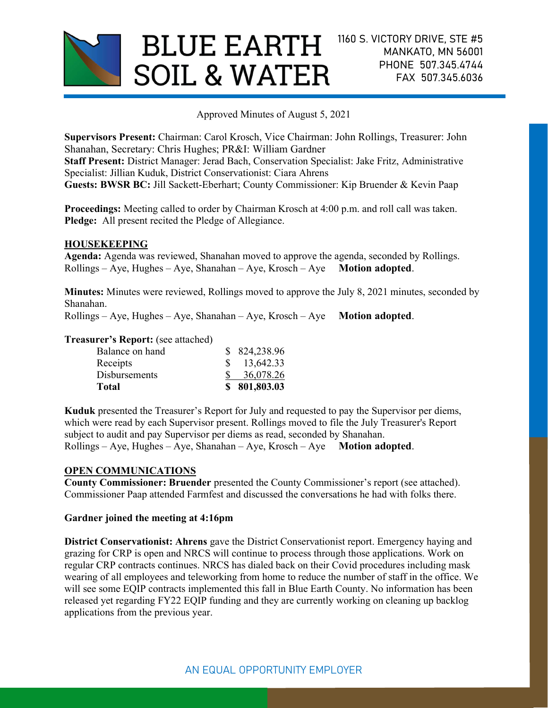

Approved Minutes of August 5, 2021

Supervisors Present: Chairman: Carol Krosch, Vice Chairman: John Rollings, Treasurer: John Shanahan, Secretary: Chris Hughes; PR&I: William Gardner Staff Present: District Manager: Jerad Bach, Conservation Specialist: Jake Fritz, Administrative Specialist: Jillian Kuduk, District Conservationist: Ciara Ahrens Guests: BWSR BC: Jill Sackett-Eberhart; County Commissioner: Kip Bruender & Kevin Paap

Proceedings: Meeting called to order by Chairman Krosch at 4:00 p.m. and roll call was taken. Pledge: All present recited the Pledge of Allegiance.

## HOUSEKEEPING

Agenda: Agenda was reviewed, Shanahan moved to approve the agenda, seconded by Rollings.  $Rollings - Aye$ , Hughes – Aye, Shanahan – Aye, Krosch – Aye Motion adopted.

Minutes: Minutes were reviewed, Rollings moved to approve the July 8, 2021 minutes, seconded by Shanahan.

 $Rollings - Aye$ , Hughes – Aye, Shanahan – Aye, Krosch – Aye Motion adopted.

#### Treasurer's Report: (see attached)

| Total                |  | \$801,803.03           |
|----------------------|--|------------------------|
| <b>Disbursements</b> |  | 36,078.26              |
| Receipts             |  | $\frac{\$}{13,642.33}$ |
| Balance on hand      |  | \$824,238.96           |
|                      |  |                        |

Kuduk presented the Treasurer's Report for July and requested to pay the Supervisor per diems, which were read by each Supervisor present. Rollings moved to file the July Treasurer's Report subject to audit and pay Supervisor per diems as read, seconded by Shanahan.  $Rollings - Aye$ , Hughes – Aye, Shanahan – Aye, Krosch – Aye Motion adopted.

# OPEN COMMUNICATIONS

County Commissioner: Bruender presented the County Commissioner's report (see attached). Commissioner Paap attended Farmfest and discussed the conversations he had with folks there.

## Gardner joined the meeting at 4:16pm

District Conservationist: Ahrens gave the District Conservationist report. Emergency haying and grazing for CRP is open and NRCS will continue to process through those applications. Work on regular CRP contracts continues. NRCS has dialed back on their Covid procedures including mask wearing of all employees and teleworking from home to reduce the number of staff in the office. We will see some EQIP contracts implemented this fall in Blue Earth County. No information has been released yet regarding FY22 EQIP funding and they are currently working on cleaning up backlog applications from the previous year.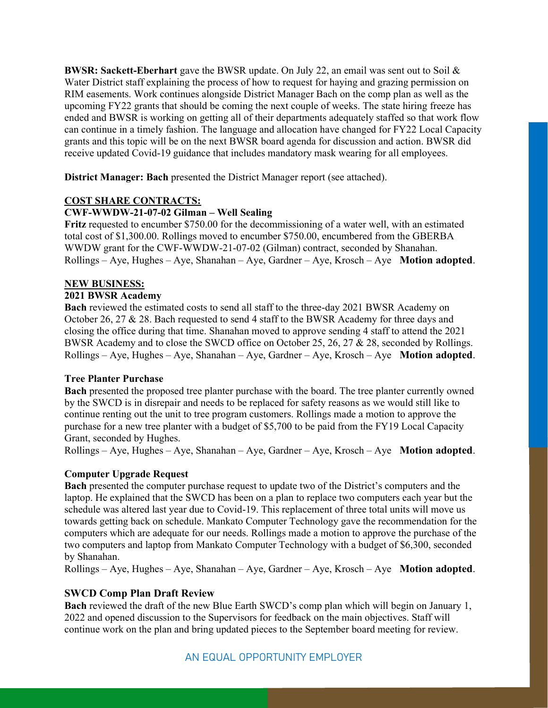**BWSR: Sackett-Eberhart** gave the BWSR update. On July 22, an email was sent out to Soil  $\&$ Water District staff explaining the process of how to request for haying and grazing permission on RIM easements. Work continues alongside District Manager Bach on the comp plan as well as the upcoming FY22 grants that should be coming the next couple of weeks. The state hiring freeze has ended and BWSR is working on getting all of their departments adequately staffed so that work flow can continue in a timely fashion. The language and allocation have changed for FY22 Local Capacity grants and this topic will be on the next BWSR board agenda for discussion and action. BWSR did receive updated Covid-19 guidance that includes mandatory mask wearing for all employees.

District Manager: Bach presented the District Manager report (see attached).

# COST SHARE CONTRACTS:

## CWF-WWDW-21-07-02 Gilman – Well Sealing

Fritz requested to encumber \$750.00 for the decommissioning of a water well, with an estimated total cost of \$1,300.00. Rollings moved to encumber \$750.00, encumbered from the GBERBA WWDW grant for the CWF-WWDW-21-07-02 (Gilman) contract, seconded by Shanahan.  $Rollings - Aye$ , Hughes – Aye, Shanahan – Aye, Gardner – Aye, Krosch – Aye Motion adopted.

## NEW BUSINESS:

#### 2021 BWSR Academy

Bach reviewed the estimated costs to send all staff to the three-day 2021 BWSR Academy on October 26, 27 & 28. Bach requested to send 4 staff to the BWSR Academy for three days and closing the office during that time. Shanahan moved to approve sending 4 staff to attend the 2021 BWSR Academy and to close the SWCD office on October 25, 26, 27 & 28, seconded by Rollings.  $Rollings - Aye$ , Hughes – Aye, Shanahan – Aye, Gardner – Aye, Krosch – Aye Motion adopted.

#### Tree Planter Purchase

Bach presented the proposed tree planter purchase with the board. The tree planter currently owned by the SWCD is in disrepair and needs to be replaced for safety reasons as we would still like to continue renting out the unit to tree program customers. Rollings made a motion to approve the purchase for a new tree planter with a budget of \$5,700 to be paid from the FY19 Local Capacity Grant, seconded by Hughes.

 $Rollings - Aye$ , Hughes – Aye, Shanahan – Aye, Gardner – Aye, Krosch – Aye Motion adopted.

#### Computer Upgrade Request

Bach presented the computer purchase request to update two of the District's computers and the laptop. He explained that the SWCD has been on a plan to replace two computers each year but the schedule was altered last year due to Covid-19. This replacement of three total units will move us towards getting back on schedule. Mankato Computer Technology gave the recommendation for the computers which are adequate for our needs. Rollings made a motion to approve the purchase of the two computers and laptop from Mankato Computer Technology with a budget of \$6,300, seconded by Shanahan.

 $Rollings - Aye$ , Hughes – Aye, Shanahan – Aye, Gardner – Aye, Krosch – Aye Motion adopted.

# SWCD Comp Plan Draft Review

Bach reviewed the draft of the new Blue Earth SWCD's comp plan which will begin on January 1, 2022 and opened discussion to the Supervisors for feedback on the main objectives. Staff will continue work on the plan and bring updated pieces to the September board meeting for review.

# AN EQUAL OPPORTUNITY EMPLOYER